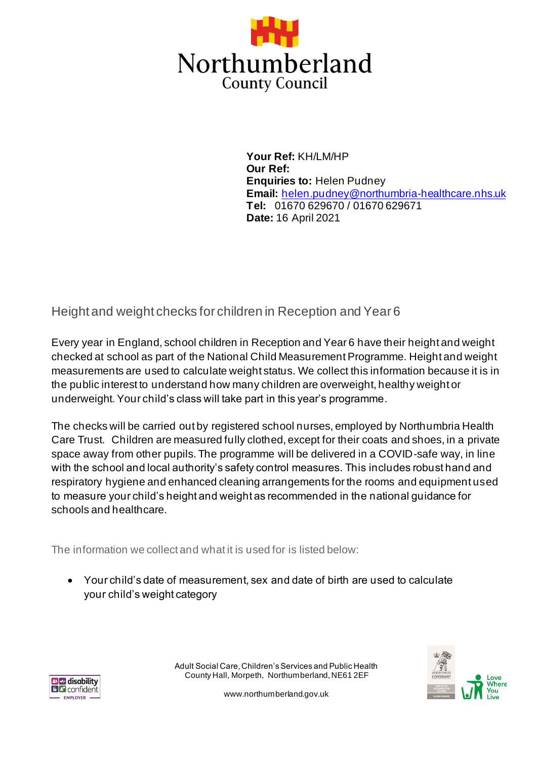

**Your Ref:** KH/LM/HP **Our Ref: Enquiries to:** Helen Pudney **Email:** helen.pudney@northumbria-healthcare.nhs.uk **Tel:** 01670 629670 / 01670 629671 **Date:** 16 April 2021

Height and weight checks for children in Reception and Year 6

Every year in England, school children in Reception and Year 6 have their height and weight checked at school as part of the National Child Measurement Programme. Height and weight measurements are used to calculate weight status. We collect this information because it is in the public interest to understand how many children are overweight, healthy weight or underweight. Your child's class will take part in this year's programme.

The checks will be carried out by registered school nurses, employed by Northumbria Health Care Trust. Children are measured fully clothed, except for their coats and shoes, in a private space away from other pupils. The programme will be delivered in a COVID-safe way, in line with the school and local authority's safety control measures. This includes robust hand and respiratory hygiene and enhanced cleaning arrangements for the rooms and equipment used to measure your child's height and weight as recommended in the national guidance for schools and healthcare.

The information we collect and what it is used for is listed below:

• Your child's date of measurement, sex and date of birth are used to calculate your child's weight category





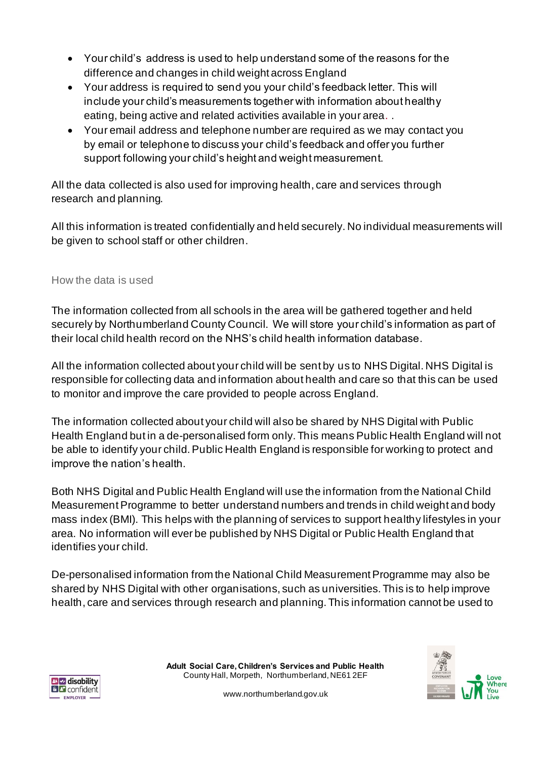- Your child's address is used to help understand some of the reasons for the difference and changes in child weight across England
- Your address is required to send you your child's feedback letter. This will include your child's measurements together with information about healthy eating, being active and related activities available in your area. .
- Your email address and telephone number are required as we may contact you by email or telephone to discuss your child's feedback and offer you further support following your child's height and weight measurement.

All the data collected is also used for improving health, care and services through research and planning.

All this information is treated confidentially and held securely. No individual measurements will be given to school staff or other children.

## How the data is used

The information collected from all schools in the area will be gathered together and held securely by Northumberland County Council. We will store your child's information as part of their local child health record on the NHS's child health information database.

All the information collected about your child will be sent by us to NHS Digital. NHS Digital is responsible for collecting data and information about health and care so that this can be used to monitor and improve the care provided to people across England.

The information collected about your child will also be shared by NHS Digital with Public Health England but in a de-personalised form only. This means Public Health England will not be able to identify your child. Public Health England is responsible for working to protect and improve the nation's health.

Both NHS Digital and Public Health England will use the information from the National Child Measurement Programme to better understand numbers and trends in child weight and body mass index (BMI). This helps with the planning of services to support healthy lifestyles in your area. No information will ever be published by NHS Digital or Public Health England that identifies your child.

De-personalised information from the National Child Measurement Programme may also be shared by NHS Digital with other organisations, such as universities. This is to help improve health, care and services through research and planning. This information cannot be used to



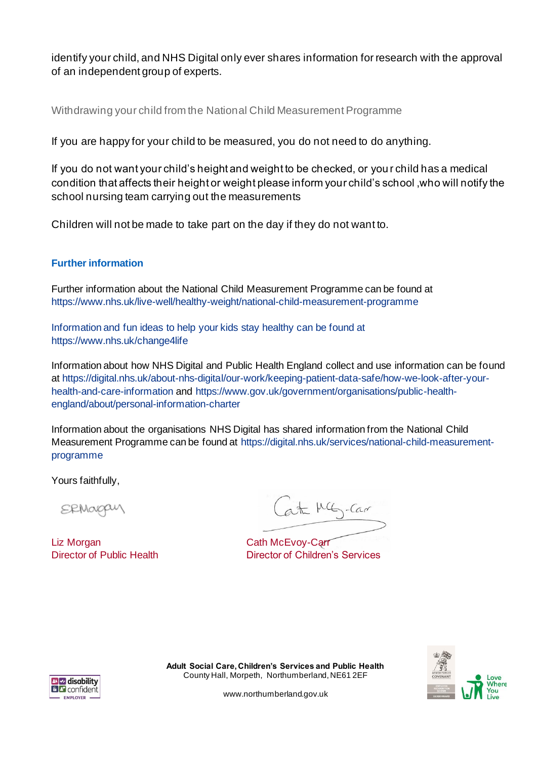identify your child, and NHS Digital only ever shares information for research with the approval of an independent group of experts.

Withdrawing your child from the National Child Measurement Programme

If you are happy for your child to be measured, you do not need to do anything.

If you do not want your child's height and weight to be checked, or you r child has a medical condition that affects their height or weight please inform your child's school ,who will notify the school nursing team carrying out the measurements

Children will not be made to take part on the day if they do not want to.

## **Further information**

Further information about the National Child Measurement Programme can be found at https://www.nhs.uk/live-well/healthy-weight/national-child-measurement-programme

Information and fun ideas to help your kids stay healthy can be found at https://www.nhs.uk/change4life

Information about how NHS Digital and Public Health England collect and use information can be found at https://digital.nhs.uk/about-nhs-digital/our-work/keeping-patient-data-safe/how-we-look-after-yourhealth-and-care-information and https://www.gov.uk/government/organisations/public-healthengland/about/personal-information-charter

Information about the organisations NHS Digital has shared information from the National Child Measurement Programme can be found at https://digital.nhs.uk/services/national-child-measurementprogramme

Yours faithfully,

**SRMOOQU** 

Liz Morgan **Cath McEvoy-Carr** 

Cat MG-Car

Director of Public Health Director of Children's Services







www.northumberland.gov.uk